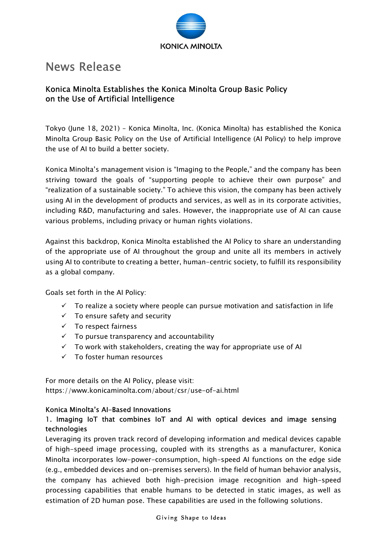

# News Release

## Konica Minolta Establishes the Konica Minolta Group Basic Policy on the Use of Artificial Intelligence

Tokyo (June 18, 2021) – Konica Minolta, Inc. (Konica Minolta) has established the Konica Minolta Group Basic Policy on the Use of Artificial Intelligence (AI Policy) to help improve the use of AI to build a better society.

Konica Minolta's management vision is "Imaging to the People," and the company has been striving toward the goals of "supporting people to achieve their own purpose" and "realization of a sustainable society." To achieve this vision, the company has been actively using AI in the development of products and services, as well as in its corporate activities, including R&D, manufacturing and sales. However, the inappropriate use of AI can cause various problems, including privacy or human rights violations.

Against this backdrop, Konica Minolta established the AI Policy to share an understanding of the appropriate use of AI throughout the group and unite all its members in actively using AI to contribute to creating a better, human-centric society, to fulfill its responsibility as a global company.

Goals set forth in the AI Policy:

- $\checkmark$  To realize a society where people can pursue motivation and satisfaction in life
- $\checkmark$  To ensure safety and security
- $\checkmark$  To respect fairness
- $\checkmark$  To pursue transparency and accountability
- $\checkmark$  To work with stakeholders, creating the way for appropriate use of AI
- $\checkmark$  To foster human resources

For more details on the AI Policy, please visit: https://www.konicaminolta.com/about/csr/use-of-ai.html

#### Konica Minolta's AI-Based Innovations

### 1. Imaging IoT that combines IoT and AI with optical devices and image sensing technologies

Leveraging its proven track record of developing information and medical devices capable of high-speed image processing, coupled with its strengths as a manufacturer, Konica Minolta incorporates low-power-consumption, high-speed AI functions on the edge side (e.g., embedded devices and on-premises servers). In the field of human behavior analysis, the company has achieved both high-precision image recognition and high-speed processing capabilities that enable humans to be detected in static images, as well as estimation of 2D human pose. These capabilities are used in the following solutions.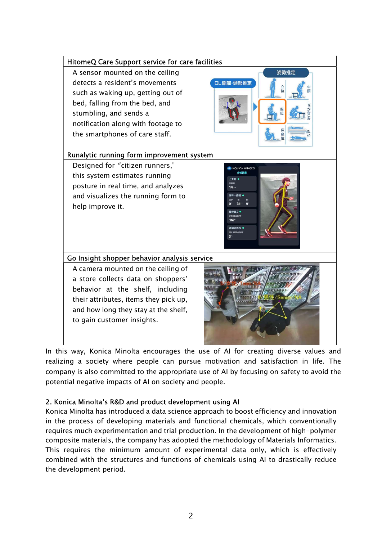

In this way, Konica Minolta encourages the use of AI for creating diverse values and realizing a society where people can pursue motivation and satisfaction in life. The company is also committed to the appropriate use of AI by focusing on safety to avoid the potential negative impacts of AI on society and people.

#### 2. Konica Minolta's R&D and product development using AI

Konica Minolta has introduced a data science approach to boost efficiency and innovation in the process of developing materials and functional chemicals, which conventionally requires much experimentation and trial production. In the development of high-polymer composite materials, the company has adopted the methodology of Materials Informatics. This requires the minimum amount of experimental data only, which is effectively combined with the structures and functions of chemicals using AI to drastically reduce the development period.